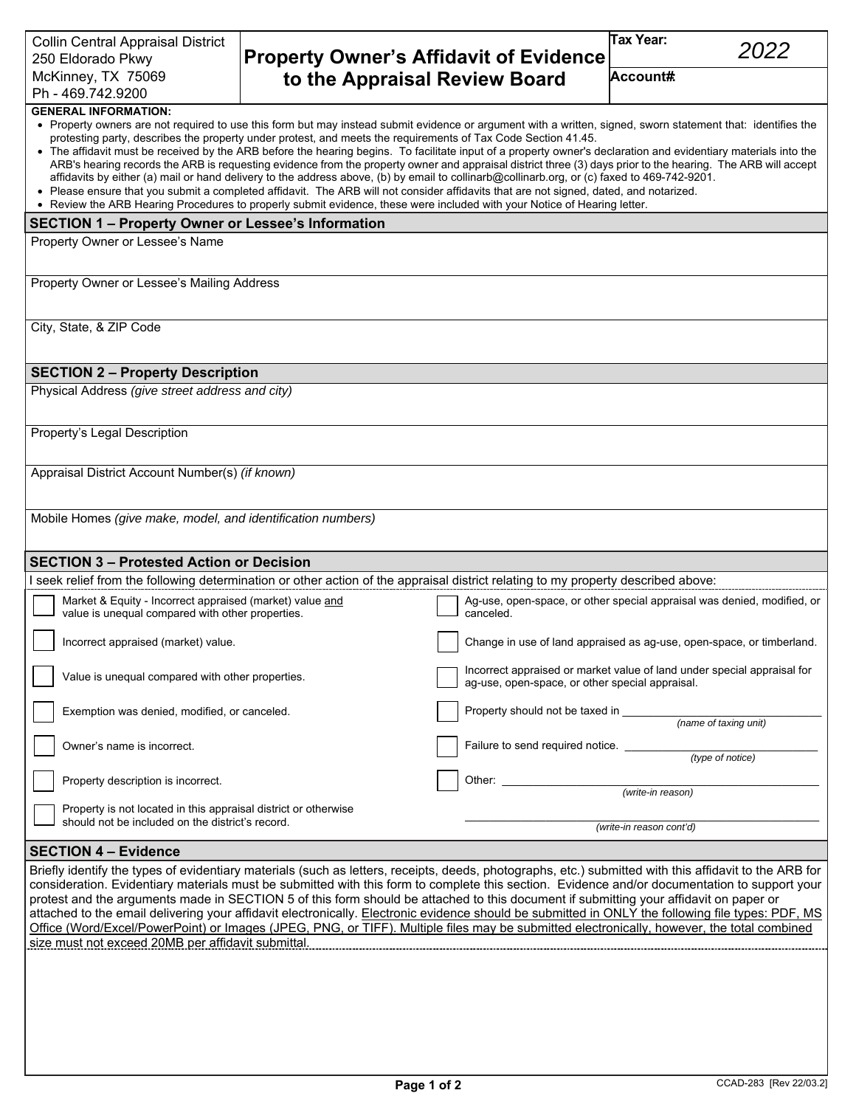## **Property Owner's Affidavit of Evidence to the Appraisal Review Board**

**Tax Year:** 

| Collin Central Appraisal District<br>250 Eldorado Pkwy                                                                                                                                                                                                                                                                                                                                                             | <b>Property Owner's Affidavit of Evidence</b>                                                                                               | ιαλ ι υαι.<br>2022                                                                                                                                                                                                                                                                                                                                                                                                                                                                              |
|--------------------------------------------------------------------------------------------------------------------------------------------------------------------------------------------------------------------------------------------------------------------------------------------------------------------------------------------------------------------------------------------------------------------|---------------------------------------------------------------------------------------------------------------------------------------------|-------------------------------------------------------------------------------------------------------------------------------------------------------------------------------------------------------------------------------------------------------------------------------------------------------------------------------------------------------------------------------------------------------------------------------------------------------------------------------------------------|
| McKinney, TX 75069                                                                                                                                                                                                                                                                                                                                                                                                 | to the Appraisal Review Board                                                                                                               | Account#                                                                                                                                                                                                                                                                                                                                                                                                                                                                                        |
| Ph - 469.742.9200                                                                                                                                                                                                                                                                                                                                                                                                  |                                                                                                                                             |                                                                                                                                                                                                                                                                                                                                                                                                                                                                                                 |
| <b>GENERAL INFORMATION:</b><br>protesting party, describes the property under protest, and meets the requirements of Tax Code Section 41.45.<br>• Please ensure that you submit a completed affidavit. The ARB will not consider affidavits that are not signed, dated, and notarized.<br>• Review the ARB Hearing Procedures to properly submit evidence, these were included with your Notice of Hearing letter. | affidavits by either (a) mail or hand delivery to the address above, (b) by email to collinarb@collinarb.org, or (c) faxed to 469-742-9201. | • Property owners are not required to use this form but may instead submit evidence or argument with a written, signed, sworn statement that: identifies the<br>• The affidavit must be received by the ARB before the hearing begins. To facilitate input of a property owner's declaration and evidentiary materials into the<br>ARB's hearing records the ARB is requesting evidence from the property owner and appraisal district three (3) days prior to the hearing. The ARB will accept |
| <b>SECTION 1 - Property Owner or Lessee's Information</b>                                                                                                                                                                                                                                                                                                                                                          |                                                                                                                                             |                                                                                                                                                                                                                                                                                                                                                                                                                                                                                                 |
| Property Owner or Lessee's Name                                                                                                                                                                                                                                                                                                                                                                                    |                                                                                                                                             |                                                                                                                                                                                                                                                                                                                                                                                                                                                                                                 |
| Property Owner or Lessee's Mailing Address                                                                                                                                                                                                                                                                                                                                                                         |                                                                                                                                             |                                                                                                                                                                                                                                                                                                                                                                                                                                                                                                 |
| City, State, & ZIP Code                                                                                                                                                                                                                                                                                                                                                                                            |                                                                                                                                             |                                                                                                                                                                                                                                                                                                                                                                                                                                                                                                 |
| <b>SECTION 2 - Property Description</b>                                                                                                                                                                                                                                                                                                                                                                            |                                                                                                                                             |                                                                                                                                                                                                                                                                                                                                                                                                                                                                                                 |
| Physical Address (give street address and city)                                                                                                                                                                                                                                                                                                                                                                    |                                                                                                                                             |                                                                                                                                                                                                                                                                                                                                                                                                                                                                                                 |
| Property's Legal Description                                                                                                                                                                                                                                                                                                                                                                                       |                                                                                                                                             |                                                                                                                                                                                                                                                                                                                                                                                                                                                                                                 |
| Appraisal District Account Number(s) (if known)                                                                                                                                                                                                                                                                                                                                                                    |                                                                                                                                             |                                                                                                                                                                                                                                                                                                                                                                                                                                                                                                 |
| Mobile Homes (give make, model, and identification numbers)                                                                                                                                                                                                                                                                                                                                                        |                                                                                                                                             |                                                                                                                                                                                                                                                                                                                                                                                                                                                                                                 |
| <b>SECTION 3 - Protested Action or Decision</b>                                                                                                                                                                                                                                                                                                                                                                    |                                                                                                                                             |                                                                                                                                                                                                                                                                                                                                                                                                                                                                                                 |
| I seek relief from the following determination or other action of the appraisal district relating to my property described above:                                                                                                                                                                                                                                                                                  |                                                                                                                                             |                                                                                                                                                                                                                                                                                                                                                                                                                                                                                                 |
| Market & Equity - Incorrect appraised (market) value and<br>value is unequal compared with other properties.                                                                                                                                                                                                                                                                                                       | canceled.                                                                                                                                   | Ag-use, open-space, or other special appraisal was denied, modified, or                                                                                                                                                                                                                                                                                                                                                                                                                         |
| Incorrect appraised (market) value.                                                                                                                                                                                                                                                                                                                                                                                |                                                                                                                                             | Change in use of land appraised as ag-use, open-space, or timberland.                                                                                                                                                                                                                                                                                                                                                                                                                           |
| Value is unequal compared with other properties.                                                                                                                                                                                                                                                                                                                                                                   | ag-use, open-space, or other special appraisal.                                                                                             | Incorrect appraised or market value of land under special appraisal for                                                                                                                                                                                                                                                                                                                                                                                                                         |
| Exemption was denied, modified, or canceled.                                                                                                                                                                                                                                                                                                                                                                       | Property should not be taxed in                                                                                                             | (name of taxing unit)                                                                                                                                                                                                                                                                                                                                                                                                                                                                           |
| Owner's name is incorrect.                                                                                                                                                                                                                                                                                                                                                                                         | Failure to send required notice. _____________                                                                                              | (type of notice)                                                                                                                                                                                                                                                                                                                                                                                                                                                                                |
| Property description is incorrect.<br>Property is not located in this appraisal district or otherwise                                                                                                                                                                                                                                                                                                              |                                                                                                                                             | (write-in reason)                                                                                                                                                                                                                                                                                                                                                                                                                                                                               |
| should not be included on the district's record.                                                                                                                                                                                                                                                                                                                                                                   |                                                                                                                                             | (write-in reason cont'd)                                                                                                                                                                                                                                                                                                                                                                                                                                                                        |
| <b>SECTION 4 - Evidence</b>                                                                                                                                                                                                                                                                                                                                                                                        |                                                                                                                                             |                                                                                                                                                                                                                                                                                                                                                                                                                                                                                                 |
| protest and the arguments made in SECTION 5 of this form should be attached to this document if submitting your affidavit on paper or<br>Office (Word/Excel/PowerPoint) or Images (JPEG, PNG, or TIFF). Multiple files may be submitted electronically, however, the total combined<br>size must not exceed 20MB per affidavit submittal.                                                                          |                                                                                                                                             | Briefly identify the types of evidentiary materials (such as letters, receipts, deeds, photographs, etc.) submitted with this affidavit to the ARB for<br>consideration. Evidentiary materials must be submitted with this form to complete this section. Evidence and/or documentation to support your<br>attached to the email delivering your affidavit electronically. Electronic evidence should be submitted in ONLY the following file types: PDF, MS                                    |
|                                                                                                                                                                                                                                                                                                                                                                                                                    |                                                                                                                                             |                                                                                                                                                                                                                                                                                                                                                                                                                                                                                                 |
|                                                                                                                                                                                                                                                                                                                                                                                                                    | Page 1 of 2                                                                                                                                 | CCAD-283 [Rev 22/03.2]                                                                                                                                                                                                                                                                                                                                                                                                                                                                          |